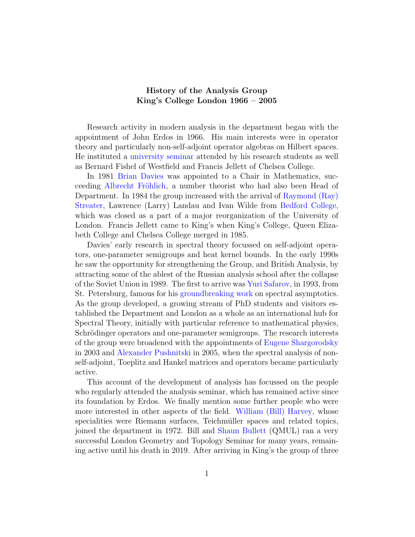## History of the Analysis Group King's College London 1966 – 2005

Research activity in modern analysis in the department began with the appointment of John Erdos in 1966. His main interests were in operator theory and particularly non-self-adjoint operator algebras on Hilbert spaces. He instituted a [university seminar](http://www.london-analysis-seminar.org.uk/) attended by his research students as well as Bernard Fishel of Westfield and Francis Jellett of Chelsea College.

In 1981 [Brian Davies](https://nms.kcl.ac.uk/brian.davies/index.html) was appointed to a Chair in Mathematics, succeeding Albrecht Fröhlich, a number theorist who had also been Head of Department. In 1984 the group increased with the arrival of [Raymond \(Ray\)](https://en.wikipedia.org/wiki/Ray_Streater) [Streater,](https://en.wikipedia.org/wiki/Ray_Streater) Lawrence (Larry) Landau and Ivan Wilde from [Bedford College,](https://en.wikipedia.org/wiki/Bedford_College,_London) which was closed as a part of a major reorganization of the University of London. Francis Jellett came to King's when King's College, Queen Elizabeth College and Chelsea College merged in 1985.

Davies' early research in spectral theory focussed on self-adjoint operators, one-parameter semigroups and heat kernel bounds. In the early 1990s he saw the opportunity for strengthening the Group, and British Analysis, by attracting some of the ablest of the Russian analysis school after the collapse of the Soviet Union in 1989. The first to arrive was [Yuri Safarov,](https://nms.kcl.ac.uk/yuri.safarov/) in 1993, from St. Petersburg, famous for his [groundbreaking work](https://arxiv.org/pdf/1608.06846.pdf) on spectral asymptotics. As the group developed, a growing stream of PhD students and visitors established the Department and London as a whole as an international hub for Spectral Theory, initially with particular reference to mathematical physics, Schrödinger operators and one-parameter semigroups. The research interests of the group were broadened with the appointments of [Eugene Shargorodsky](https://nms.kcl.ac.uk/eugene.shargorodsky/web_page/index.html) in 2003 and [Alexander Pushnitski](https://nms.kcl.ac.uk/alexander.pushnitski/web_page/index.html) in 2005, when the spectral analysis of nonself-adjoint, Toeplitz and Hankel matrices and operators became particularly active.

This account of the development of analysis has focussed on the people who regularly attended the analysis seminar, which has remained active since its foundation by Erdos. We finally mention some further people who were more interested in other aspects of the field. [William \(Bill\) Harvey,](https://www.kcl.ac.uk/news/in-memory-of-william-j-harvey) whose specialities were Riemann surfaces, Teichmüller spaces and related topics, joined the department in 1972. Bill and [Shaun Bullett](http://www.maths.qmul.ac.uk/~sb/) (QMUL) ran a very successful London Geometry and Topology Seminar for many years, remaining active until his death in 2019. After arriving in King's the group of three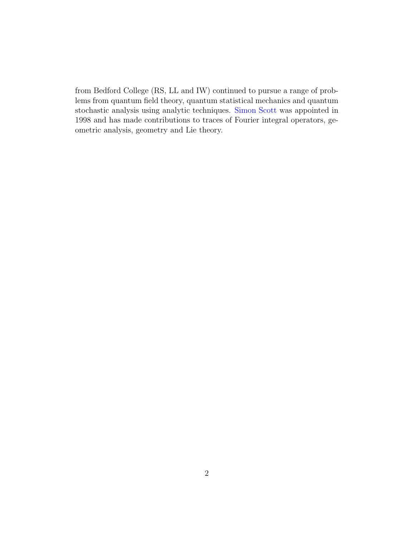from Bedford College (RS, LL and IW) continued to pursue a range of problems from quantum field theory, quantum statistical mechanics and quantum stochastic analysis using analytic techniques. [Simon Scott](https://www.kcl.ac.uk/people/simon-scott) was appointed in 1998 and has made contributions to traces of Fourier integral operators, geometric analysis, geometry and Lie theory.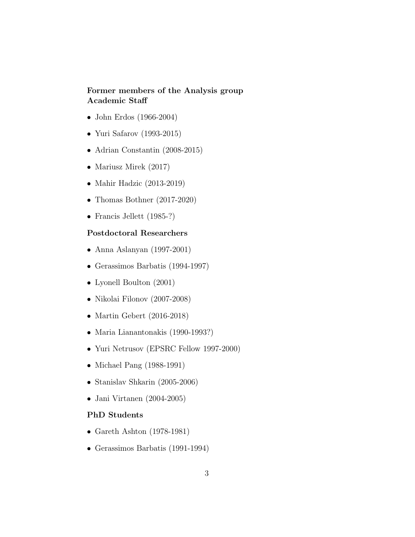## Former members of the Analysis group Academic Staff

- John Erdos (1966-2004)
- Yuri Safarov (1993-2015)
- Adrian Constantin (2008-2015)
- Mariusz Mirek (2017)
- Mahir Hadzic (2013-2019)
- Thomas Bothner (2017-2020)
- Francis Jellett (1985-?)

## Postdoctoral Researchers

- Anna Aslanyan (1997-2001)
- Gerassimos Barbatis (1994-1997)
- Lyonell Boulton (2001)
- Nikolai Filonov (2007-2008)
- Martin Gebert (2016-2018)
- Maria Lianantonakis (1990-1993?)
- Yuri Netrusov (EPSRC Fellow 1997-2000)
- Michael Pang (1988-1991)
- Stanislav Shkarin (2005-2006)
- Jani Virtanen (2004-2005)

## PhD Students

- Gareth Ashton (1978-1981)
- Gerassimos Barbatis (1991-1994)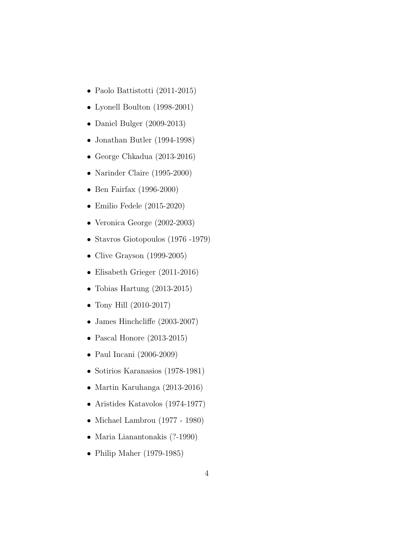- Paolo Battistotti (2011-2015)
- Lyonell Boulton (1998-2001)
- Daniel Bulger (2009-2013)
- Jonathan Butler (1994-1998)
- George Chkadua (2013-2016)
- Narinder Claire (1995-2000)
- Ben Fairfax (1996-2000)
- Emilio Fedele (2015-2020)
- Veronica George (2002-2003)
- Stavros Giotopoulos (1976 -1979)
- Clive Grayson (1999-2005)
- Elisabeth Grieger (2011-2016)
- Tobias Hartung (2013-2015)
- Tony Hill (2010-2017)
- James Hinchcliffe (2003-2007)
- Pascal Honore (2013-2015)
- Paul Incani (2006-2009)
- Sotirios Karanasios (1978-1981)
- Martin Karuhanga (2013-2016)
- Aristides Katavolos (1974-1977)
- Michael Lambrou (1977 1980)
- Maria Lianantonakis (?-1990)
- Philip Maher (1979-1985)